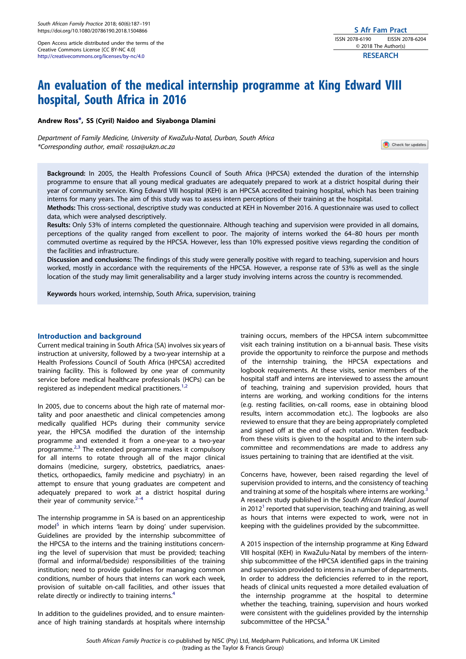<span id="page-0-0"></span>Open Access article distributed under the terms of the Creative Commons License [CC BY-NC 4.0] <http://creativecommons.org/licenses/by-nc/4.0>

# An evaluation of the medical internship programme at King Edward VIII hospital, South Africa in 2016

Andrew Ross\*, SS (Cyril) Naidoo and Siyabonga Dlamini

Department of Family Medicine, University of KwaZulu-Natal, Durban, South Africa \*Corresponding author, email: [rossa@ukzn.ac.za](mailto:rossa@ukzn.ac.za)

Check for updates

Background: In 2005, the Health Professions Council of South Africa (HPCSA) extended the duration of the internship programme to ensure that all young medical graduates are adequately prepared to work at a district hospital during their year of community service. King Edward VIII hospital (KEH) is an HPCSA accredited training hospital, which has been training interns for many years. The aim of this study was to assess intern perceptions of their training at the hospital.

Methods: This cross-sectional, descriptive study was conducted at KEH in November 2016. A questionnaire was used to collect data, which were analysed descriptively.

Results: Only 53% of interns completed the questionnaire. Although teaching and supervision were provided in all domains, perceptions of the quality ranged from excellent to poor. The majority of interns worked the 64–80 hours per month commuted overtime as required by the HPCSA. However, less than 10% expressed positive views regarding the condition of the facilities and infrastructure.

Discussion and conclusions: The findings of this study were generally positive with regard to teaching, supervision and hours worked, mostly in accordance with the requirements of the HPCSA. However, a response rate of 53% as well as the single location of the study may limit generalisability and a larger study involving interns across the country is recommended.

Keywords hours worked, internship, South Africa, supervision, training

# Introduction and background

Current medical training in South Africa (SA) involves six years of instruction at university, followed by a two-year internship at a Health Professions Council of South Africa (HPCSA) accredited training facility. This is followed by one year of community service before medical healthcare professionals (HCPs) can be registered as independent medical practitioners.<sup>[1,2](#page-4-0)</sup>

In 2005, due to concerns about the high rate of maternal mortality and poor anaesthetic and clinical competencies among medically qualified HCPs during their community service year, the HPCSA modified the duration of the internship programme and extended it from a one-year to a two-year programme[.2,3](#page-4-0) The extended programme makes it compulsory for all interns to rotate through all of the major clinical domains (medicine, surgery, obstetrics, paediatrics, anaesthetics, orthopaedics, family medicine and psychiatry) in an attempt to ensure that young graduates are competent and adequately prepared to work at a district hospital during their year of community service. $2-4$ 

The internship programme in SA is based on an apprenticeship model $5$  in which interns 'learn by doing' under supervision. Guidelines are provided by the internship subcommittee of the HPCSA to the interns and the training institutions concerning the level of supervision that must be provided; teaching (formal and informal/bedside) responsibilities of the training institution; need to provide guidelines for managing common conditions, number of hours that interns can work each week, provision of suitable on-call facilities, and other issues that relate directly or indirectly to training interns.<sup>[4](#page-4-0)</sup>

In addition to the guidelines provided, and to ensure maintenance of high training standards at hospitals where internship training occurs, members of the HPCSA intern subcommittee visit each training institution on a bi-annual basis. These visits provide the opportunity to reinforce the purpose and methods of the internship training, the HPCSA expectations and logbook requirements. At these visits, senior members of the hospital staff and interns are interviewed to assess the amount of teaching, training and supervision provided, hours that interns are working, and working conditions for the interns (e.g. resting facilities, on-call rooms, ease in obtaining blood results, intern accommodation etc.). The logbooks are also reviewed to ensure that they are being appropriately completed and signed off at the end of each rotation. Written feedback from these visits is given to the hospital and to the intern subcommittee and recommendations are made to address any issues pertaining to training that are identified at the visit.

Concerns have, however, been raised regarding the level of supervision provided to interns, and the consistency of teaching and training at some of the hospitals where interns are working.<sup>[3](#page-4-0)</sup> A research study published in the South African Medical Journal in 20[1](#page-4-0)2<sup>1</sup> reported that supervision, teaching and training, as well as hours that interns were expected to work, were not in keeping with the guidelines provided by the subcommittee.

A 2015 inspection of the internship programme at King Edward VIII hospital (KEH) in KwaZulu-Natal by members of the internship subcommittee of the HPCSA identified gaps in the training and supervision provided to interns in a number of departments. In order to address the deficiencies referred to in the report, heads of clinical units requested a more detailed evaluation of the internship programme at the hospital to determine whether the teaching, training, supervision and hours worked were consistent with the guidelines provided by the internship subcommittee of the HPCSA.<sup>[4](#page-4-0)</sup>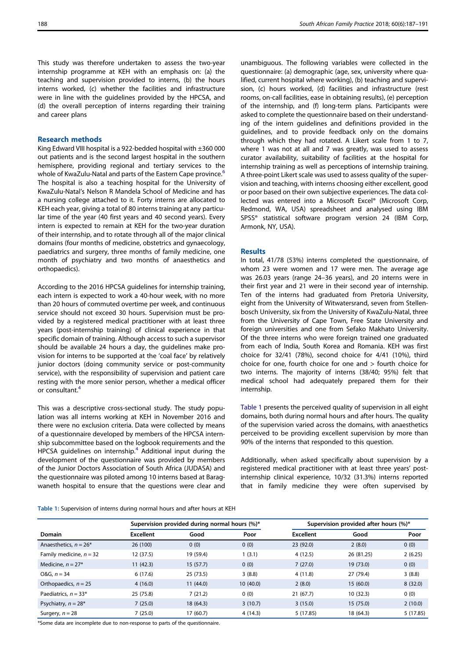This study was therefore undertaken to assess the two-year internship programme at KEH with an emphasis on: (a) the teaching and supervision provided to interns, (b) the hours interns worked, (c) whether the facilities and infrastructure were in line with the guidelines provided by the HPCSA, and (d) the overall perception of interns regarding their training and career plans

## Research methods

King Edward VIII hospital is a 922-bedded hospital with ±360 000 out patients and is the second largest hospital in the southern hemisphere, providing regional and tertiary services to the whole of KwaZulu-Natal and parts of the Eastern Cape province.<sup>[6](#page-4-0)</sup> The hospital is also a teaching hospital for the University of KwaZulu-Natal's Nelson R Mandela School of Medicine and has a nursing college attached to it. Forty interns are allocated to KEH each year, giving a total of 80 interns training at any particular time of the year (40 first years and 40 second years). Every intern is expected to remain at KEH for the two-year duration of their internship, and to rotate through all of the major clinical domains (four months of medicine, obstetrics and gynaecology, paediatrics and surgery, three months of family medicine, one month of psychiatry and two months of anaesthetics and orthopaedics).

According to the 2016 HPCSA guidelines for internship training, each intern is expected to work a 40-hour week, with no more than 20 hours of commuted overtime per week, and continuous service should not exceed 30 hours. Supervision must be provided by a registered medical practitioner with at least three years (post-internship training) of clinical experience in that specific domain of training. Although access to such a supervisor should be available 24 hours a day, the guidelines make provision for interns to be supported at the 'coal face' by relatively junior doctors (doing community service or post-community service), with the responsibility of supervision and patient care resting with the more senior person, whether a medical officer or consultant.[4](#page-4-0)

This was a descriptive cross-sectional study. The study population was all interns working at KEH in November 2016 and there were no exclusion criteria. Data were collected by means of a questionnaire developed by members of the HPCSA internship subcommittee based on the logbook requirements and the HPCSA guidelines on internship.<sup>[4](#page-4-0)</sup> Additional input during the development of the questionnaire was provided by members of the Junior Doctors Association of South Africa (JUDASA) and the questionnaire was piloted among 10 interns based at Baragwaneth hospital to ensure that the questions were clear and unambiguous. The following variables were collected in the questionnaire: (a) demographic (age, sex, university where qualified, current hospital where working), (b) teaching and supervision, (c) hours worked, (d) facilities and infrastructure (rest rooms, on-call facilities, ease in obtaining results), (e) perception of the internship, and (f) long-term plans. Participants were asked to complete the questionnaire based on their understanding of the intern guidelines and definitions provided in the guidelines, and to provide feedback only on the domains through which they had rotated. A Likert scale from 1 to 7, where 1 was not at all and 7 was greatly, was used to assess curator availability, suitability of facilities at the hospital for internship training as well as perceptions of internship training. A three-point Likert scale was used to assess quality of the supervision and teaching, with interns choosing either excellent, good or poor based on their own subjective experiences. The data collected was entered into a Microsoft Excel® (Microsoft Corp, Redmond, WA, USA) spreadsheet and analysed using IBM SPSS® statistical software program version 24 (IBM Corp, Armonk, NY, USA).

## Results

In total, 41/78 (53%) interns completed the questionnaire, of whom 23 were women and 17 were men. The average age was 26.03 years (range 24–36 years), and 20 interns were in their first year and 21 were in their second year of internship. Ten of the interns had graduated from Pretoria University, eight from the University of Witwatersrand, seven from Stellenbosch University, six from the University of KwaZulu-Natal, three from the University of Cape Town, Free State University and foreign universities and one from Sefako Makhato University. Of the three interns who were foreign trained one graduated from each of India, South Korea and Romania. KEH was first choice for 32/41 (78%), second choice for 4/41 (10%), third choice for one, fourth choice for one and > fourth choice for two interns. The majority of interns (38/40; 95%) felt that medical school had adequately prepared them for their internship.

Table 1 presents the perceived quality of supervision in all eight domains, both during normal hours and after hours. The quality of the supervision varied across the domains, with anaesthetics perceived to be providing excellent supervision by more than 90% of the interns that responded to this question.

Additionally, when asked specifically about supervision by a registered medical practitioner with at least three years' postinternship clinical experience, 10/32 (31.3%) interns reported that in family medicine they were often supervised by

Table 1: Supervision of interns during normal hours and after hours at KEH

|                                   |                  | Supervision provided during normal hours (%)* |          | Supervision provided after hours (%)* |            |          |  |
|-----------------------------------|------------------|-----------------------------------------------|----------|---------------------------------------|------------|----------|--|
| <b>Domain</b>                     | <b>Excellent</b> | Good                                          | Poor     | Excellent                             | Good       | Poor     |  |
| Anaesthetics, $n = 26*$           | 26 (100)         | 0(0)                                          | 0(0)     | 23(92.0)                              | 2(8.0)     | 0(0)     |  |
| Family medicine, $n = 32$         | 12 (37.5)        | 19 (59.4)                                     | 1(3.1)   | 4(12.5)                               | 26 (81.25) | 2(6.25)  |  |
| Medicine, $n = 27$ *              | 11(42.3)         | 15(57.7)                                      | 0(0)     | 7(27.0)                               | 19 (73.0)  | 0(0)     |  |
| $0&G, n = 34$                     | 6(17.6)          | 25(73.5)                                      | 3(8.8)   | 4(11.8)                               | 27 (79.4)  | 3(8.8)   |  |
| Orthopaedics, $n = 25$            | 4(16.0)          | 11(44.0)                                      | 10(40.0) | 2(8.0)                                | 15(60.0)   | 8(32.0)  |  |
| Paediatrics, $n = 33*$            | 25 (75.8)        | 7(21.2)                                       | 0(0)     | 21(67.7)                              | 10(32.3)   | 0(0)     |  |
| Psychiatry, $n = 28$ <sup>*</sup> | 7(25.0)          | 18 (64.3)                                     | 3(10.7)  | 3(15.0)                               | 15(75.0)   | 2(10.0)  |  |
| Surgery, $n = 28$                 | 7(25.0)          | 17 (60.7)                                     | 4(14.3)  | 5(17.85)                              | 18 (64.3)  | 5(17.85) |  |

\*Some data are incomplete due to non-response to parts of the questionnaire.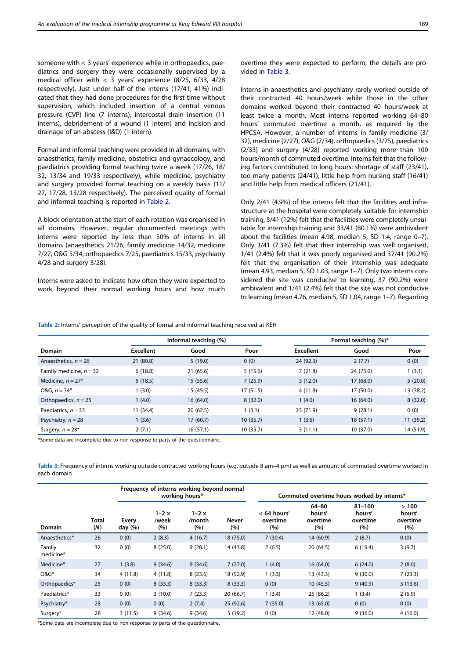someone with < 3 years' experience while in orthopaedics, paediatrics and surgery they were occasionally supervised by a medical officer with < 3 years' experience (8/25, 6/33, 4/28 respectively). Just under half of the interns (17/41; 41%) indicated that they had done procedures for the first time without supervision, which included insertion of a central venous pressure (CVP) line (7 interns), intercostal drain insertion (11 interns), debridement of a wound (1 intern) and incision and drainage of an abscess (I&D) (1 intern).

Formal and informal teaching were provided in all domains, with anaesthetics, family medicine, obstetrics and gynaecology, and paediatrics providing formal teaching twice a week (17/26, 18/ 32, 13/34 and 19/33 respectively), while medicine, psychiatry and surgery provided formal teaching on a weekly basis (11/ 27, 17/28, 13/28 respectively). The perceived quality of formal and informal teaching is reported in Table 2.

A block orientation at the start of each rotation was organised in all domains. However, regular documented meetings with interns were reported by less than 50% of interns in all domains (anaesthetics 21/26, family medicine 14/32, medicine 7/27, O&G 5/34, orthopaedics 7/25, paediatrics 15/33, psychiatry 4/28 and surgery 3/28).

Interns were asked to indicate how often they were expected to work beyond their normal working hours and how much overtime they were expected to perform; the details are provided in Table 3.

Interns in anaesthetics and psychiatry rarely worked outside of their contracted 40 hours/week while those in the other domains worked beyond their contracted 40 hours/week at least twice a month. Most interns reported working 64–80 hours' commuted overtime a month, as required by the HPCSA. However, a number of interns in family medicine (3/ 32), medicine (2/27), O&G (7/34), orthopaedics (3/25), paediatrics (2/33) and surgery (4/28) reported working more than 100 hours/month of commuted overtime. Interns felt that the following factors contributed to long hours: shortage of staff (23/41), too many patients (24/41), little help from nursing staff (16/41) and little help from medical officers (21/41).

Only 2/41 (4.9%) of the interns felt that the facilities and infrastructure at the hospital were completely suitable for internship training, 5/41 (12%) felt that the facilities were completely unsuitable for internship training and 33/41 (80.1%) were ambivalent about the facilities (mean 4.98, median 5, SD 1.4, range 0–7). Only 3/41 (7.3%) felt that their internship was well organised, 1/41 (2.4%) felt that it was poorly organised and 37/41 (90.2%) felt that the organisation of their internship was adequate (mean 4.93, median 5, SD 1.03, range 1–7). Only two interns considered the site was conducive to learning, 37 (90.2%) were ambivalent and 1/41 (2.4%) felt that the site was not conducive to learning (mean 4.76, median 5, SD 1.04, range 1–7). Regarding

Table 2: Interns' perception of the quality of formal and informal teaching received at KEH

|                           |                  | Informal teaching (%) |           | Formal teaching (%)* |           |           |  |
|---------------------------|------------------|-----------------------|-----------|----------------------|-----------|-----------|--|
| <b>Domain</b>             | <b>Excellent</b> | Good                  | Poor      | <b>Excellent</b>     | Good      | Poor      |  |
| Anaesthetics, $n = 26$    | 21 (80.8)        | 5(19.0)               | 0(0)      | 24 (92.3)            | 2(7.7)    | 0(0)      |  |
| Family medicine, $n = 32$ | 6(18.8)          | 21 (65.6)             | 5(15.6)   | 7(21.8)              | 24 (75.0) | 1(3.1)    |  |
| Medicine, $n = 27$ *      | 5(18.5)          | 15 (55.6)             | 7(25.9)   | 3(12.0)              | 17 (68.0) | 5(20.0)   |  |
| $0&G, n = 34*$            | 1(3.0)           | 15 (45.5)             | 17 (51.5) | 4(11.8)              | 17 (50.0) | 13 (38.2) |  |
| Orthopaedics, $n = 25$    | 1(4.0)           | 16(64.0)              | 8(32.0)   | 1(4.0)               | 16(64.0)  | 8(32.0)   |  |
| Paediatrics, $n = 33$     | 11 (34.4)        | 20(62.5)              | 1(3.1)    | 23 (71.9)            | 9(28.1)   | 0(0)      |  |
| Psychiatry, $n = 28$      | 1(3.6)           | 17(60.7)              | 10(35.7)  | 1(3.6)               | 16(57.1)  | 11 (39.2) |  |
| Surgery, $n = 28^*$       | 2(7.1)           | 16(57.1)              | 10(35.7)  | 3(11.1)              | 10 (37.0) | 14 (51.9) |  |

\*Some data are incomplete due to non-response to parts of the questionnaire.

Table 3: Frequency of interns working outside contracted working hours (e.g. outside 8 am–4 pm) as well as amount of commuted overtime worked in each domain

|                     |              |                      | Frequency of interns working beyond normal<br>working hours* |                           |              | Commuted overtime hours worked by interns* |                                        |                                         |                                   |  |
|---------------------|--------------|----------------------|--------------------------------------------------------------|---------------------------|--------------|--------------------------------------------|----------------------------------------|-----------------------------------------|-----------------------------------|--|
| Domain              | Total<br>(N) | Every<br>day $(\% )$ | $1-2x$<br>/week<br>(%)                                       | $1 - 2x$<br>/month<br>(%) | Never<br>(%) | $<$ 64 hours'<br>overtime<br>(%)           | $64 - 80$<br>hours'<br>overtime<br>(%) | $81 - 100$<br>hours'<br>overtime<br>(%) | >100<br>hours'<br>overtime<br>(%) |  |
| Anaesthetics*       | 26           | 0(0)                 | 2(8.3)                                                       | 4(16.7)                   | 18 (75.0)    | 7(30.4)                                    | 14 (60.9)                              | 2(8.7)                                  | 0(0)                              |  |
| Family<br>medicine* | 32           | 0(0)                 | 8(25.0)                                                      | 9(28.1)                   | 14 (43.8)    | 2(6.5)                                     | 20 (64.5)                              | 6(19.4)                                 | 3(9.7)                            |  |
| Medicine*           | 27           | 1(3.8)               | 9(34.6)                                                      | 9(34.6)                   | 7(27.0)      | 1(4.0)                                     | 16(64.0)                               | 6(24.0)                                 | 2(8.0)                            |  |
| $O&G*$              | 34           | 4(11.8)              | 4(11.8)                                                      | 8(23.5)                   | 18 (52.9)    | 1(3.3)                                     | 13(43.3)                               | 9(30.0)                                 | 7(23.3)                           |  |
| Orthopaedics*       | 25           | 0(0)                 | 8(33.3)                                                      | 8(33.3)                   | 8(33.3)      | 0(0)                                       | 10(45.5)                               | 9(40.9)                                 | 3(13.6)                           |  |
| Paediatrics*        | 33           | 0(0)                 | 3(10.0)                                                      | 7(23.3)                   | 20(66.7)     | 1(3.4)                                     | 25 (86.2)                              | 1(3.4)                                  | 2(6.9)                            |  |
| Psychiatry*         | 28           | 0(0)                 | 0(0)                                                         | 2(7.4)                    | 25(92.6)     | 7(35.0)                                    | 13(65.0)                               | 0(0)                                    | 0(0)                              |  |
| Surgery*            | 28           | 3(11.5)              | 9(34.6)                                                      | 9(34.6)                   | 5(19.2)      | 0(0)                                       | 12 (48.0)                              | 9(36.0)                                 | 4(16.0)                           |  |

\*Some data are incomplete due to non-response to parts of the questionnaire.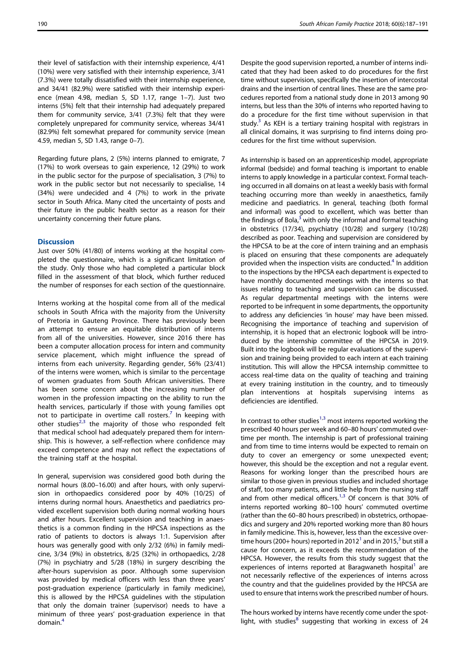<span id="page-3-0"></span>their level of satisfaction with their internship experience, 4/41 (10%) were very satisfied with their internship experience, 3/41 (7.3%) were totally dissatisfied with their internship experience, and 34/41 (82.9%) were satisfied with their internship experience (mean 4.98, median 5, SD 1.17, range 1–7). Just two interns (5%) felt that their internship had adequately prepared them for community service, 3/41 (7.3%) felt that they were completely unprepared for community service, whereas 34/41 (82.9%) felt somewhat prepared for community service (mean 4.59, median 5, SD 1.43, range 0–7).

Regarding future plans, 2 (5%) interns planned to emigrate, 7 (17%) to work overseas to gain experience, 12 (29%) to work in the public sector for the purpose of specialisation, 3 (7%) to work in the public sector but not necessarily to specialise, 14 (34%) were undecided and 4 (7%) to work in the private sector in South Africa. Many cited the uncertainty of posts and their future in the public health sector as a reason for their uncertainty concerning their future plans.

## **Discussion**

Just over 50% (41/80) of interns working at the hospital completed the questionnaire, which is a significant limitation of the study. Only those who had completed a particular block filled in the assessment of that block, which further reduced the number of responses for each section of the questionnaire.

Interns working at the hospital come from all of the medical schools in South Africa with the majority from the University of Pretoria in Gauteng Province. There has previously been an attempt to ensure an equitable distribution of interns from all of the universities. However, since 2016 there has been a computer allocation process for intern and community service placement, which might influence the spread of interns from each university. Regarding gender, 56% (23/41) of the interns were women, which is similar to the percentage of women graduates from South African universities. There has been some concern about the increasing number of women in the profession impacting on the ability to run the health services, particularly if those with young families opt not to participate in overtime call rosters.<sup>[7](#page-4-0)</sup> In keeping with other studies<sup>[2](#page-4-0),[3](#page-4-0)</sup> the majority of those who responded felt that medical school had adequately prepared them for internship. This is however, a self-reflection where confidence may exceed competence and may not reflect the expectations of the training staff at the hospital.

In general, supervision was considered good both during the normal hours (8.00–16.00) and after hours, with only supervision in orthopaedics considered poor by 40% (10/25) of interns during normal hours. Anaesthetics and paediatrics provided excellent supervision both during normal working hours and after hours. Excellent supervision and teaching in anaesthetics is a common finding in the HPCSA inspections as the ratio of patients to doctors is always 1:1. Supervision after hours was generally good with only 2/32 (6%) in family medicine, 3/34 (9%) in obstetrics, 8/25 (32%) in orthopaedics, 2/28 (7%) in psychiatry and 5/28 (18%) in surgery describing the after-hours supervision as poor. Although some supervision was provided by medical officers with less than three years' post-graduation experience (particularly in family medicine), this is allowed by the HPCSA guidelines with the stipulation that only the domain trainer (supervisor) needs to have a minimum of three years' post-graduation experience in that domain.[4](#page-4-0)

Despite the good supervision reported, a number of interns indicated that they had been asked to do procedures for the first time without supervision, specifically the insertion of intercostal drains and the insertion of central lines. These are the same procedures reported from a national study done in 2013 among 90 interns, but less than the 30% of interns who reported having to do a procedure for the first time without supervision in that study. $3$  As KEH is a tertiary training hospital with registrars in all clinical domains, it was surprising to find interns doing procedures for the first time without supervision.

As internship is based on an apprenticeship model, appropriate informal (bedside) and formal teaching is important to enable interns to apply knowledge in a particular context. Formal teaching occurred in all domains on at least a weekly basis with formal teaching occurring more than weekly in anaesthetics, family medicine and paediatrics. In general, teaching (both formal and informal) was good to excellent, which was better than the findings of Bola, $3$  with only the informal and formal teaching in obstetrics (17/34), psychiatry (10/28) and surgery (10/28) described as poor. Teaching and supervision are considered by the HPCSA to be at the core of intern training and an emphasis is placed on ensuring that these components are adequately provided when the inspection visits are conducted.<sup>[4](#page-4-0)</sup> In addition to the inspections by the HPCSA each department is expected to have monthly documented meetings with the interns so that issues relating to teaching and supervision can be discussed. As regular departmental meetings with the interns were reported to be infrequent in some departments, the opportunity to address any deficiencies 'in house' may have been missed. Recognising the importance of teaching and supervision of internship, it is hoped that an electronic logbook will be introduced by the internship committee of the HPCSA in 2019. Built into the logbook will be regular evaluations of the supervision and training being provided to each intern at each training institution. This will allow the HPCSA internship committee to access real-time data on the quality of teaching and training at every training institution in the country, and to timeously plan interventions at hospitals supervising interns as deficiencies are identified.

In contrast to other studies<sup>[1](#page-4-0),[3](#page-4-0)</sup> most interns reported working the prescribed 40 hours per week and 60–80 hours' commuted overtime per month. The internship is part of professional training and from time to time interns would be expected to remain on duty to cover an emergency or some unexpected event; however, this should be the exception and not a regular event. Reasons for working longer than the prescribed hours are similar to those given in previous studies and included shortage of staff, too many patients, and little help from the nursing staff and from other medical officers.<sup>[1,3](#page-4-0)</sup> Of concern is that 30% of interns reported working 80–100 hours' commuted overtime (rather than the 60–80 hours prescribed) in obstetrics, orthopaedics and surgery and 20% reported working more than 80 hours in family medicine. This is, however, less than the excessive over-time hours (200+ hours) reported in 20[1](#page-4-0)2<sup>1</sup> and in 2015,<sup>[3](#page-4-0)</sup> but still a cause for concern, as it exceeds the recommendation of the HPCSA. However, the results from this study suggest that the experiences of interns reported at Baragwaneth hospital<sup>1</sup> are not necessarily reflective of the experiences of interns across the country and that the guidelines provided by the HPCSA are used to ensure that interns work the prescribed number of hours.

The hours worked by interns have recently come under the spot-light, with studies<sup>[8](#page-4-0)</sup> suggesting that working in excess of 24